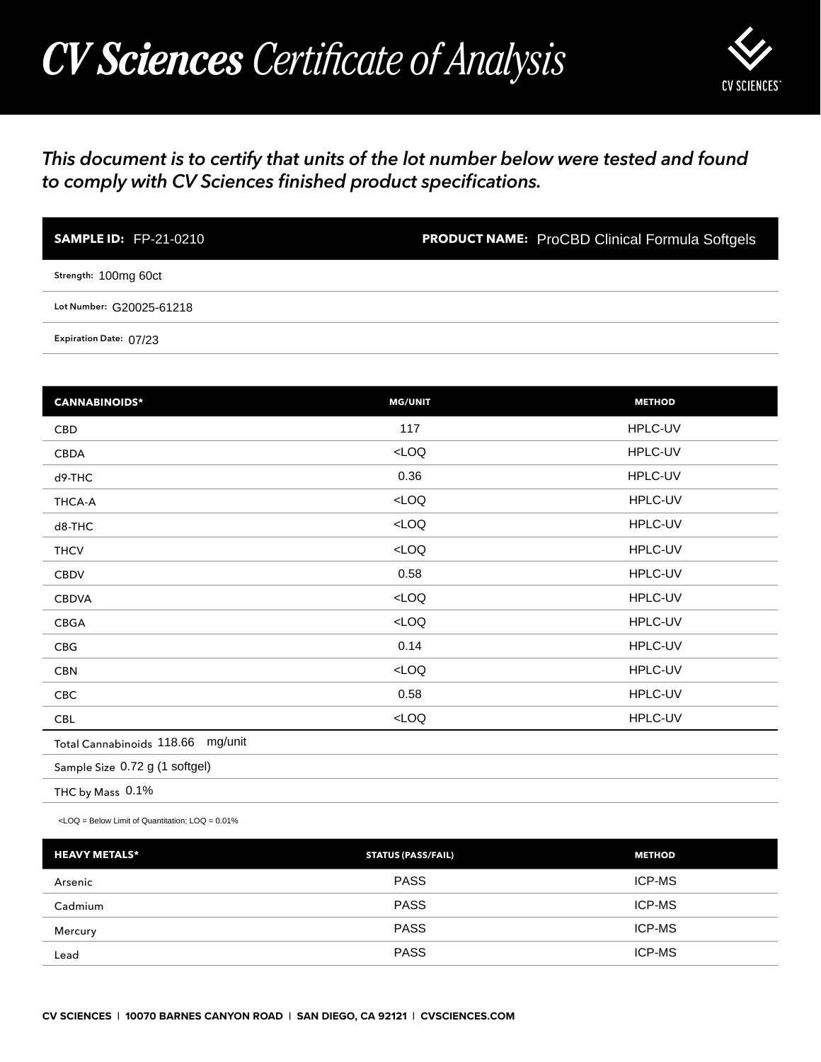## *CV Sciences Certificate of Analysis*



## *This document is to certify that units of the lot number below were tested and found to comply with CV Sciences finished product specifications.*

| <b>SAMPLE ID: FP-21-0210</b> | <b>PRODUCT NAME:</b> ProCBD Clinical Formula Softgels |
|------------------------------|-------------------------------------------------------|
| Strength: 100mg 60ct         |                                                       |
| Lot Number: G20025-61218     |                                                       |
| Expiration Date: 07/23       |                                                       |

| <b>SAMPLE ID: FP-21-0210</b>                                                                   | <b>PRODUCT NAME:</b> ProCBD Clinical Formula Softgels |               |
|------------------------------------------------------------------------------------------------|-------------------------------------------------------|---------------|
| Strength: 100mg 60ct                                                                           |                                                       |               |
| Lot Number: G20025-61218                                                                       |                                                       |               |
| Expiration Date: 07/23                                                                         |                                                       |               |
|                                                                                                |                                                       |               |
| <b>CANNABINOIDS*</b>                                                                           | <b>MG/UNIT</b>                                        | <b>METHOD</b> |
| CBD                                                                                            | 117                                                   | HPLC-UV       |
| CBDA                                                                                           | LOO                                                   | HPLC-UV       |
| d9-THC                                                                                         | 0.36                                                  | HPLC-UV       |
| THCA-A                                                                                         | LOO                                                   | HPLC-UV       |
| d8-THC                                                                                         | $<$ LOQ                                               | HPLC-UV       |
| <b>THCV</b>                                                                                    | LOO                                                   | HPLC-UV       |
| <b>CBDV</b>                                                                                    | 0.58                                                  | HPLC-UV       |
| <b>CBDVA</b>                                                                                   | $<$ LOQ                                               | HPLC-UV       |
| CBGA                                                                                           | LOO                                                   | HPLC-UV       |
| CBG                                                                                            | 0.14                                                  | HPLC-UV       |
| <b>CBN</b>                                                                                     | LOO                                                   | HPLC-UV       |
| CBC                                                                                            | 0.58                                                  | HPLC-UV       |
| <b>CBL</b>                                                                                     | $<$ LOQ                                               | HPLC-UV       |
| Total Cannabinoids 118.66 mg/unit                                                              |                                                       |               |
| Sample Size 0.72 g (1 softgel)                                                                 |                                                       |               |
| THC by Mass 0.1%                                                                               |                                                       |               |
| <loq =="" below="" limit="" loq="0.01%&lt;/td" of="" quantitation;=""><td></td><td></td></loq> |                                                       |               |
| <b>HEAVY METALS*</b>                                                                           | <b>STATUS (PASS/FAIL)</b>                             | <b>METHOD</b> |
| Arsenic                                                                                        | <b>PASS</b>                                           | ICP-MS        |
| Cadmium                                                                                        | <b>PASS</b>                                           | ICP-MS        |
| Mercury                                                                                        | <b>PASS</b>                                           | ICP-MS        |
| Lead                                                                                           | <b>PASS</b>                                           | ICP-MS        |

| <b>HEAVY METALS*</b> | <b>STATUS (PASS/FAIL)</b> | <b>METHOD</b> |
|----------------------|---------------------------|---------------|
| Arsenic              | <b>PASS</b>               | <b>ICP-MS</b> |
| Cadmium              | <b>PASS</b>               | <b>ICP-MS</b> |
| Mercury              | <b>PASS</b>               | <b>ICP-MS</b> |
| Lead                 | <b>PASS</b>               | <b>ICP-MS</b> |